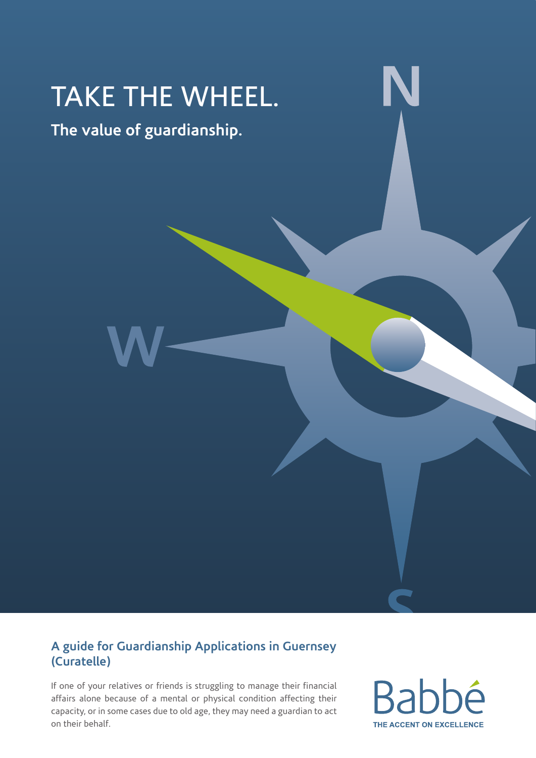# TAKE THE WHEEL.

**The value of guardianship.**

#### **A guide for Guardianship Applications in Guernsey (Curatelle)**

If one of your relatives or friends is struggling to manage their financial affairs alone because of a mental or physical condition affecting their capacity, or in some cases due to old age, they may need a guardian to act on their behalf.

**Ra** THE ACCENT ON EXCELLENCE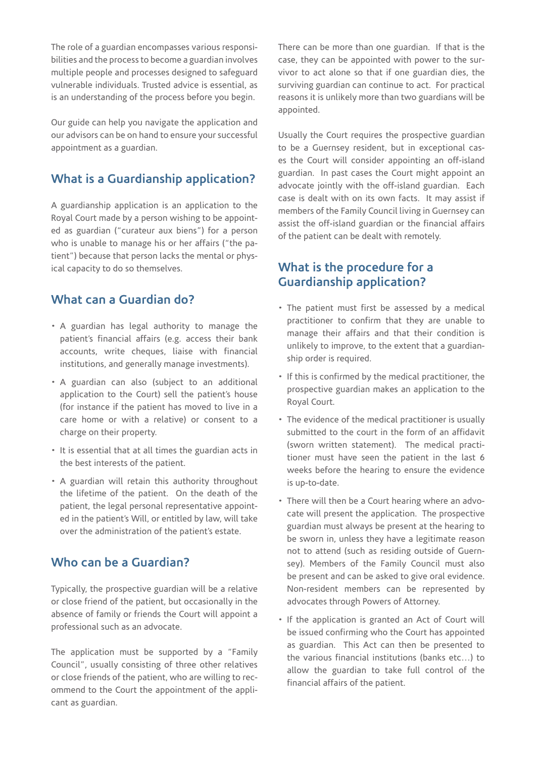The role of a guardian encompasses various responsibilities and the process to become a guardian involves multiple people and processes designed to safeguard vulnerable individuals. Trusted advice is essential, as is an understanding of the process before you begin.

Our guide can help you navigate the application and our advisors can be on hand to ensure your successful appointment as a guardian.

#### **What is a Guardianship application?**

A guardianship application is an application to the Royal Court made by a person wishing to be appointed as guardian ("curateur aux biens") for a person who is unable to manage his or her affairs ("the patient") because that person lacks the mental or physical capacity to do so themselves.

#### **What can a Guardian do?**

- A guardian has legal authority to manage the patient's financial affairs (e.g. access their bank accounts, write cheques, liaise with financial institutions, and generally manage investments).
- A guardian can also (subject to an additional application to the Court) sell the patient's house (for instance if the patient has moved to live in a care home or with a relative) or consent to a charge on their property.
- It is essential that at all times the guardian acts in the best interests of the patient.
- A guardian will retain this authority throughout the lifetime of the patient. On the death of the patient, the legal personal representative appointed in the patient's Will, or entitled by law, will take over the administration of the patient's estate.

#### **Who can be a Guardian?**

Typically, the prospective guardian will be a relative or close friend of the patient, but occasionally in the absence of family or friends the Court will appoint a professional such as an advocate.

The application must be supported by a "Family Council", usually consisting of three other relatives or close friends of the patient, who are willing to recommend to the Court the appointment of the applicant as guardian.

There can be more than one guardian. If that is the case, they can be appointed with power to the survivor to act alone so that if one guardian dies, the surviving guardian can continue to act. For practical reasons it is unlikely more than two guardians will be appointed.

Usually the Court requires the prospective guardian to be a Guernsey resident, but in exceptional cases the Court will consider appointing an off-island guardian. In past cases the Court might appoint an advocate jointly with the off-island guardian. Each case is dealt with on its own facts. It may assist if members of the Family Council living in Guernsey can assist the off-island guardian or the financial affairs of the patient can be dealt with remotely.

#### **What is the procedure for a Guardianship application?**

- The patient must first be assessed by a medical practitioner to confirm that they are unable to manage their affairs and that their condition is unlikely to improve, to the extent that a guardianship order is required.
- If this is confirmed by the medical practitioner, the prospective guardian makes an application to the Royal Court.
- The evidence of the medical practitioner is usually submitted to the court in the form of an affidavit (sworn written statement). The medical practitioner must have seen the patient in the last 6 weeks before the hearing to ensure the evidence is up-to-date.
- There will then be a Court hearing where an advocate will present the application. The prospective guardian must always be present at the hearing to be sworn in, unless they have a legitimate reason not to attend (such as residing outside of Guernsey). Members of the Family Council must also be present and can be asked to give oral evidence. Non-resident members can be represented by advocates through Powers of Attorney.
- If the application is granted an Act of Court will be issued confirming who the Court has appointed as guardian. This Act can then be presented to the various financial institutions (banks etc…) to allow the guardian to take full control of the financial affairs of the patient.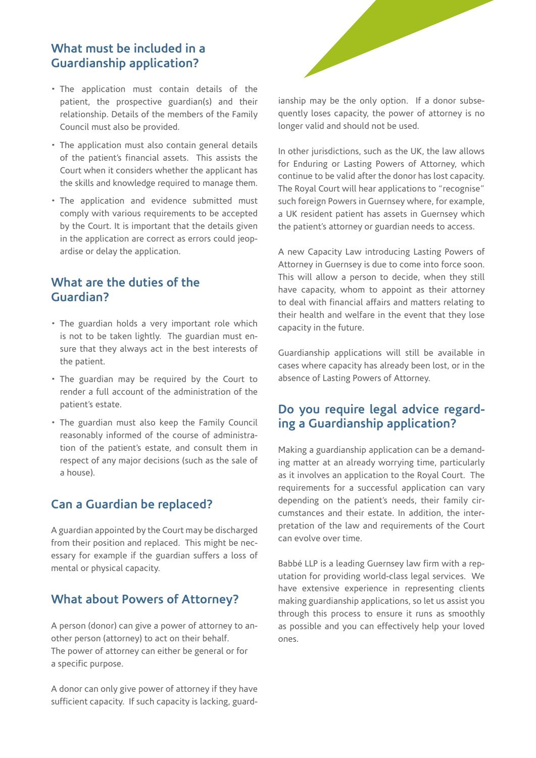#### **What must be included in a Guardianship application?**

- The application must contain details of the patient, the prospective guardian(s) and their relationship. Details of the members of the Family Council must also be provided.
- The application must also contain general details of the patient's financial assets. This assists the Court when it considers whether the applicant has the skills and knowledge required to manage them.
- The application and evidence submitted must comply with various requirements to be accepted by the Court. It is important that the details given in the application are correct as errors could jeopardise or delay the application.

#### **What are the duties of the Guardian?**

- The guardian holds a very important role which is not to be taken lightly. The guardian must ensure that they always act in the best interests of the patient.
- The guardian may be required by the Court to render a full account of the administration of the patient's estate.
- The guardian must also keep the Family Council reasonably informed of the course of administration of the patient's estate, and consult them in respect of any major decisions (such as the sale of a house).

#### **Can a Guardian be replaced?**

A guardian appointed by the Court may be discharged from their position and replaced. This might be necessary for example if the guardian suffers a loss of mental or physical capacity.

#### **What about Powers of Attorney?**

A person (donor) can give a power of attorney to another person (attorney) to act on their behalf. The power of attorney can either be general or for a specific purpose.

A donor can only give power of attorney if they have sufficient capacity. If such capacity is lacking, guard-



ianship may be the only option. If a donor subsequently loses capacity, the power of attorney is no longer valid and should not be used.

In other jurisdictions, such as the UK, the law allows for Enduring or Lasting Powers of Attorney, which continue to be valid after the donor has lost capacity. The Royal Court will hear applications to "recognise" such foreign Powers in Guernsey where, for example, a UK resident patient has assets in Guernsey which the patient's attorney or guardian needs to access.

A new Capacity Law introducing Lasting Powers of Attorney in Guernsey is due to come into force soon. This will allow a person to decide, when they still have capacity, whom to appoint as their attorney to deal with financial affairs and matters relating to their health and welfare in the event that they lose capacity in the future.

Guardianship applications will still be available in cases where capacity has already been lost, or in the absence of Lasting Powers of Attorney.

#### **Do you require legal advice regarding a Guardianship application?**

Making a guardianship application can be a demanding matter at an already worrying time, particularly as it involves an application to the Royal Court. The requirements for a successful application can vary depending on the patient's needs, their family circumstances and their estate. In addition, the interpretation of the law and requirements of the Court can evolve over time.

Babbé LLP is a leading Guernsey law firm with a reputation for providing world-class legal services. We have extensive experience in representing clients making guardianship applications, so let us assist you through this process to ensure it runs as smoothly as possible and you can effectively help your loved ones.